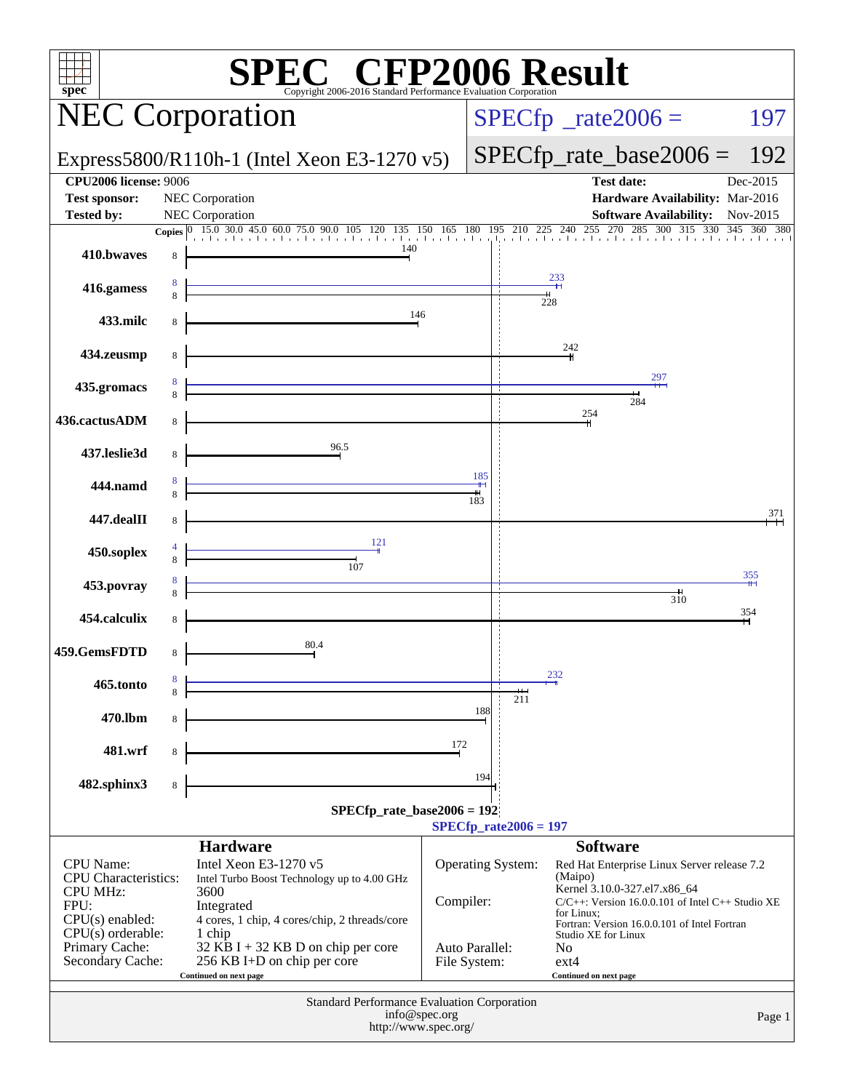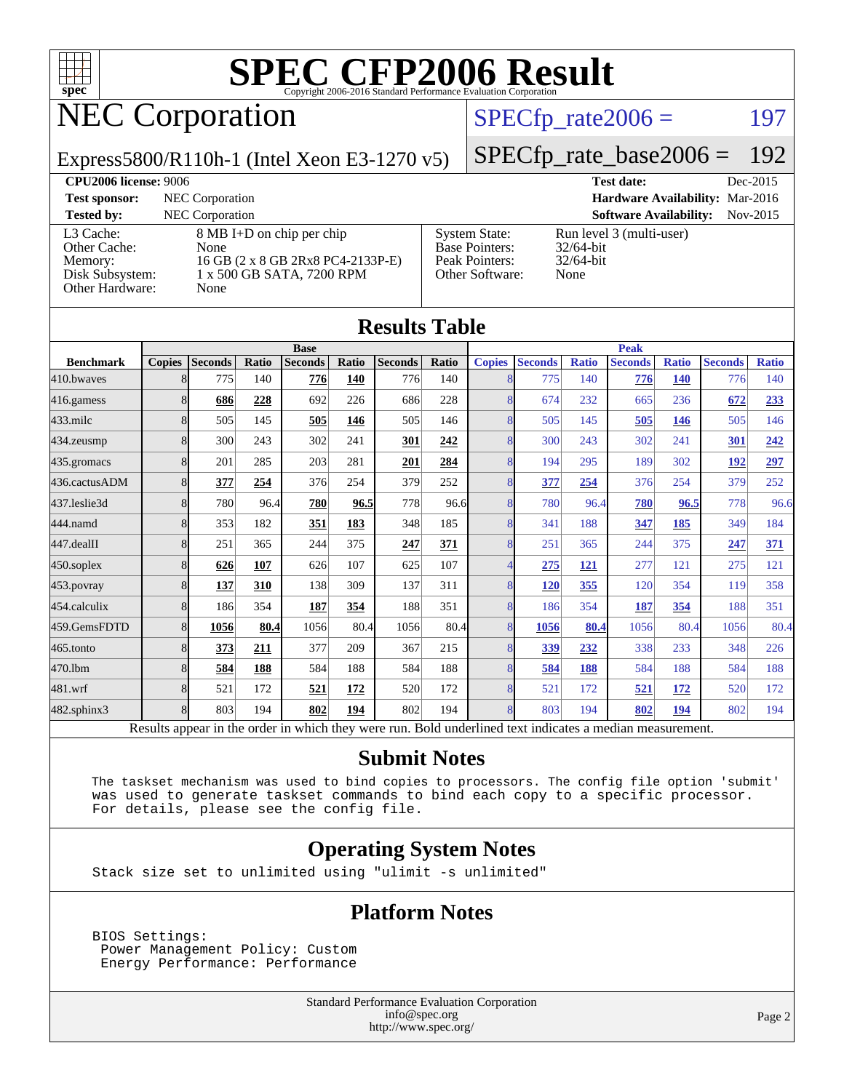

## NEC Corporation

#### $SPECTp_rate2006 = 197$

#### Express5800/R110h-1 (Intel Xeon E3-1270 v5)

## [SPECfp\\_rate\\_base2006 =](http://www.spec.org/auto/cpu2006/Docs/result-fields.html#SPECfpratebase2006) 192

**[CPU2006 license:](http://www.spec.org/auto/cpu2006/Docs/result-fields.html#CPU2006license)** 9006 **[Test date:](http://www.spec.org/auto/cpu2006/Docs/result-fields.html#Testdate)** Dec-2015 **[Test sponsor:](http://www.spec.org/auto/cpu2006/Docs/result-fields.html#Testsponsor)** NEC Corporation **[Hardware Availability:](http://www.spec.org/auto/cpu2006/Docs/result-fields.html#HardwareAvailability)** Mar-2016 **[Tested by:](http://www.spec.org/auto/cpu2006/Docs/result-fields.html#Testedby)** NEC Corporation **[Software Availability:](http://www.spec.org/auto/cpu2006/Docs/result-fields.html#SoftwareAvailability)** Nov-2015 [L3 Cache:](http://www.spec.org/auto/cpu2006/Docs/result-fields.html#L3Cache) 8 MB I+D on chip per chip [Other Cache:](http://www.spec.org/auto/cpu2006/Docs/result-fields.html#OtherCache) [Memory:](http://www.spec.org/auto/cpu2006/Docs/result-fields.html#Memory) 16 GB (2 x 8 GB 2Rx8 PC4-2133P-E) [Disk Subsystem:](http://www.spec.org/auto/cpu2006/Docs/result-fields.html#DiskSubsystem) 1 x 500 GB SATA, 7200 RPM [Other Hardware:](http://www.spec.org/auto/cpu2006/Docs/result-fields.html#OtherHardware) None [System State:](http://www.spec.org/auto/cpu2006/Docs/result-fields.html#SystemState) Run level 3 (multi-user)<br>Base Pointers: 32/64-bit [Base Pointers:](http://www.spec.org/auto/cpu2006/Docs/result-fields.html#BasePointers) [Peak Pointers:](http://www.spec.org/auto/cpu2006/Docs/result-fields.html#PeakPointers) 32/64-bit [Other Software:](http://www.spec.org/auto/cpu2006/Docs/result-fields.html#OtherSoftware) None

| <b>Results Table</b> |               |                |       |                                                                                                          |       |                |              |               |                |              |                |              |                |              |  |
|----------------------|---------------|----------------|-------|----------------------------------------------------------------------------------------------------------|-------|----------------|--------------|---------------|----------------|--------------|----------------|--------------|----------------|--------------|--|
|                      | <b>Base</b>   |                |       |                                                                                                          |       |                |              |               | <b>Peak</b>    |              |                |              |                |              |  |
| <b>Benchmark</b>     | <b>Copies</b> | <b>Seconds</b> | Ratio | <b>Seconds</b>                                                                                           | Ratio | <b>Seconds</b> | <b>Ratio</b> | <b>Copies</b> | <b>Seconds</b> | <b>Ratio</b> | <b>Seconds</b> | <b>Ratio</b> | <b>Seconds</b> | <b>Ratio</b> |  |
| 410.bwayes           | 8             | 775            | 140   | 776                                                                                                      | 140   | 776            | 140          | 8             | 775            | 140          | 776            | <b>140</b>   | 776            | 140          |  |
| 416.gamess           | 8             | 686            | 228   | 692                                                                                                      | 226   | 686            | 228          | 8             | 674            | 232          | 665            | 236          | 672            | 233          |  |
| $433$ .milc          | 8             | 505            | 145   | 505                                                                                                      | 146   | 505            | 146          | 8             | 505            | 145          | 505            | 146          | 505            | 146          |  |
| 434.zeusmp           | 8             | 300            | 243   | 302                                                                                                      | 241   | 301            | 242          | 8             | 300            | 243          | 302            | 241          | 301            | 242          |  |
| 435.gromacs          | 8             | 201            | 285   | 203                                                                                                      | 281   | 201            | 284          | 8             | 194            | 295          | 189            | 302          | 192            | 297          |  |
| 436.cactusADM        | 8             | 377            | 254   | 376                                                                                                      | 254   | 379            | 252          | 8             | 377            | 254          | 376            | 254          | 379            | 252          |  |
| 437.leslie3d         | 8             | 780            | 96.4  | 780                                                                                                      | 96.5  | 778            | 96.6         | 8             | 780            | 96.4         | 780            | 96.5         | 778            | 96.6         |  |
| 444.namd             | 8             | 353            | 182   | 351                                                                                                      | 183   | 348            | 185          | 8             | 341            | 188          | 347            | 185          | 349            | 184          |  |
| 447.dealII           | 8             | 251            | 365   | 244                                                                                                      | 375   | 247            | 371          | 8             | 251            | 365          | 244            | 375          | 247            | 371          |  |
| $450$ .soplex        | 8             | 626            | 107   | 626                                                                                                      | 107   | 625            | 107          | 4             | 275            | 121          | 277            | 121          | 275            | 121          |  |
| 453.povray           | 8             | 137            | 310   | 138                                                                                                      | 309   | 137            | 311          | 8             | 120            | 355          | 120            | 354          | 119            | 358          |  |
| 454.calculix         | 8             | 186            | 354   | 187                                                                                                      | 354   | 188            | 351          | 8             | 186            | 354          | 187            | 354          | 188            | 351          |  |
| 459.GemsFDTD         | 8             | 1056           | 80.4  | 1056                                                                                                     | 80.4  | 1056           | 80.4         | 8             | 1056           | 80.4         | 1056           | 80.4         | 1056           | 80.4         |  |
| 465.tonto            | 8             | 373            | 211   | 377                                                                                                      | 209   | 367            | 215          | 8             | 339            | 232          | 338            | 233          | 348            | 226          |  |
| 470.1bm              | 8             | 584            | 188   | 584                                                                                                      | 188   | 584            | 188          | 8             | 584            | 188          | 584            | 188          | 584            | 188          |  |
| 481.wrf              | 8             | 521            | 172   | 521                                                                                                      | 172   | 520            | 172          | 8             | 521            | 172          | 521            | 172          | 520            | 172          |  |
| 482.sphinx3          | 8             | 803            | 194   | 802                                                                                                      | 194   | 802            | 194          | 8             | 803            | 194          | 802            | 194          | 802            | 194          |  |
|                      |               |                |       | Results appear in the order in which they were run. Bold underlined text indicates a median measurement. |       |                |              |               |                |              |                |              |                |              |  |

#### **[Submit Notes](http://www.spec.org/auto/cpu2006/Docs/result-fields.html#SubmitNotes)**

 The taskset mechanism was used to bind copies to processors. The config file option 'submit' was used to generate taskset commands to bind each copy to a specific processor. For details, please see the config file.

#### **[Operating System Notes](http://www.spec.org/auto/cpu2006/Docs/result-fields.html#OperatingSystemNotes)**

Stack size set to unlimited using "ulimit -s unlimited"

#### **[Platform Notes](http://www.spec.org/auto/cpu2006/Docs/result-fields.html#PlatformNotes)**

 BIOS Settings: Power Management Policy: Custom Energy Performance: Performance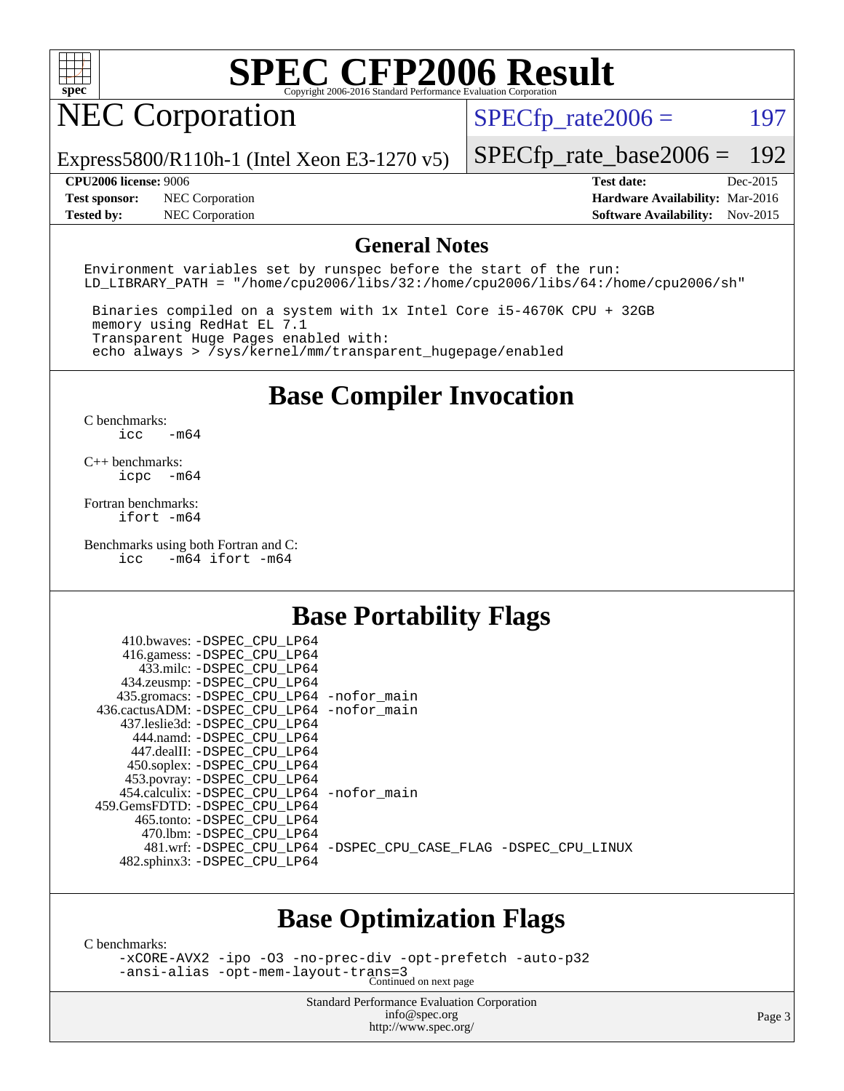

## NEC Corporation

 $SPECTp_rate2006 = 197$ 

Express5800/R110h-1 (Intel Xeon E3-1270 v5)

**[Tested by:](http://www.spec.org/auto/cpu2006/Docs/result-fields.html#Testedby)** NEC Corporation **[Software Availability:](http://www.spec.org/auto/cpu2006/Docs/result-fields.html#SoftwareAvailability)** Nov-2015

[SPECfp\\_rate\\_base2006 =](http://www.spec.org/auto/cpu2006/Docs/result-fields.html#SPECfpratebase2006) 192 **[CPU2006 license:](http://www.spec.org/auto/cpu2006/Docs/result-fields.html#CPU2006license)** 9006 **[Test date:](http://www.spec.org/auto/cpu2006/Docs/result-fields.html#Testdate)** Dec-2015 **[Test sponsor:](http://www.spec.org/auto/cpu2006/Docs/result-fields.html#Testsponsor)** NEC Corporation **[Hardware Availability:](http://www.spec.org/auto/cpu2006/Docs/result-fields.html#HardwareAvailability)** Mar-2016

#### **[General Notes](http://www.spec.org/auto/cpu2006/Docs/result-fields.html#GeneralNotes)**

Environment variables set by runspec before the start of the run: LD LIBRARY PATH = "/home/cpu2006/libs/32:/home/cpu2006/libs/64:/home/cpu2006/sh"

 Binaries compiled on a system with 1x Intel Core i5-4670K CPU + 32GB memory using RedHat EL 7.1 Transparent Huge Pages enabled with: echo always > /sys/kernel/mm/transparent\_hugepage/enabled

### **[Base Compiler Invocation](http://www.spec.org/auto/cpu2006/Docs/result-fields.html#BaseCompilerInvocation)**

[C benchmarks](http://www.spec.org/auto/cpu2006/Docs/result-fields.html#Cbenchmarks): [icc -m64](http://www.spec.org/cpu2006/results/res2016q1/cpu2006-20160125-38794.flags.html#user_CCbase_intel_icc_64bit_0b7121f5ab7cfabee23d88897260401c)

[C++ benchmarks:](http://www.spec.org/auto/cpu2006/Docs/result-fields.html#CXXbenchmarks) [icpc -m64](http://www.spec.org/cpu2006/results/res2016q1/cpu2006-20160125-38794.flags.html#user_CXXbase_intel_icpc_64bit_bedb90c1146cab66620883ef4f41a67e)

[Fortran benchmarks](http://www.spec.org/auto/cpu2006/Docs/result-fields.html#Fortranbenchmarks): [ifort -m64](http://www.spec.org/cpu2006/results/res2016q1/cpu2006-20160125-38794.flags.html#user_FCbase_intel_ifort_64bit_ee9d0fb25645d0210d97eb0527dcc06e)

[Benchmarks using both Fortran and C](http://www.spec.org/auto/cpu2006/Docs/result-fields.html#BenchmarksusingbothFortranandC): [icc -m64](http://www.spec.org/cpu2006/results/res2016q1/cpu2006-20160125-38794.flags.html#user_CC_FCbase_intel_icc_64bit_0b7121f5ab7cfabee23d88897260401c) [ifort -m64](http://www.spec.org/cpu2006/results/res2016q1/cpu2006-20160125-38794.flags.html#user_CC_FCbase_intel_ifort_64bit_ee9d0fb25645d0210d97eb0527dcc06e)

#### **[Base Portability Flags](http://www.spec.org/auto/cpu2006/Docs/result-fields.html#BasePortabilityFlags)**

| 410.bwaves: -DSPEC CPU LP64<br>416.gamess: -DSPEC_CPU_LP64 |                                                                |
|------------------------------------------------------------|----------------------------------------------------------------|
| 433.milc: -DSPEC CPU LP64                                  |                                                                |
| 434.zeusmp: -DSPEC_CPU_LP64                                |                                                                |
| 435.gromacs: -DSPEC_CPU_LP64 -nofor_main                   |                                                                |
| 436.cactusADM: -DSPEC CPU LP64 -nofor main                 |                                                                |
| 437.leslie3d: -DSPEC CPU LP64                              |                                                                |
| 444.namd: - DSPEC CPU LP64                                 |                                                                |
| 447.dealII: -DSPEC_CPU_LP64                                |                                                                |
| 450.soplex: -DSPEC_CPU_LP64                                |                                                                |
| 453.povray: -DSPEC_CPU_LP64                                |                                                                |
| 454.calculix: -DSPEC_CPU_LP64 -nofor_main                  |                                                                |
| 459. GemsFDTD: - DSPEC CPU LP64                            |                                                                |
| 465.tonto: - DSPEC CPU LP64                                |                                                                |
| 470.1bm: - DSPEC CPU LP64                                  |                                                                |
|                                                            | 481.wrf: -DSPEC CPU_LP64 -DSPEC_CPU_CASE_FLAG -DSPEC_CPU_LINUX |
| 482.sphinx3: -DSPEC_CPU_LP64                               |                                                                |
|                                                            |                                                                |

#### **[Base Optimization Flags](http://www.spec.org/auto/cpu2006/Docs/result-fields.html#BaseOptimizationFlags)**

[C benchmarks](http://www.spec.org/auto/cpu2006/Docs/result-fields.html#Cbenchmarks):

[-xCORE-AVX2](http://www.spec.org/cpu2006/results/res2016q1/cpu2006-20160125-38794.flags.html#user_CCbase_f-xAVX2_5f5fc0cbe2c9f62c816d3e45806c70d7) [-ipo](http://www.spec.org/cpu2006/results/res2016q1/cpu2006-20160125-38794.flags.html#user_CCbase_f-ipo) [-O3](http://www.spec.org/cpu2006/results/res2016q1/cpu2006-20160125-38794.flags.html#user_CCbase_f-O3) [-no-prec-div](http://www.spec.org/cpu2006/results/res2016q1/cpu2006-20160125-38794.flags.html#user_CCbase_f-no-prec-div) [-opt-prefetch](http://www.spec.org/cpu2006/results/res2016q1/cpu2006-20160125-38794.flags.html#user_CCbase_f-opt-prefetch) [-auto-p32](http://www.spec.org/cpu2006/results/res2016q1/cpu2006-20160125-38794.flags.html#user_CCbase_f-auto-p32) [-ansi-alias](http://www.spec.org/cpu2006/results/res2016q1/cpu2006-20160125-38794.flags.html#user_CCbase_f-ansi-alias) [-opt-mem-layout-trans=3](http://www.spec.org/cpu2006/results/res2016q1/cpu2006-20160125-38794.flags.html#user_CCbase_f-opt-mem-layout-trans_a7b82ad4bd7abf52556d4961a2ae94d5) Continued on next page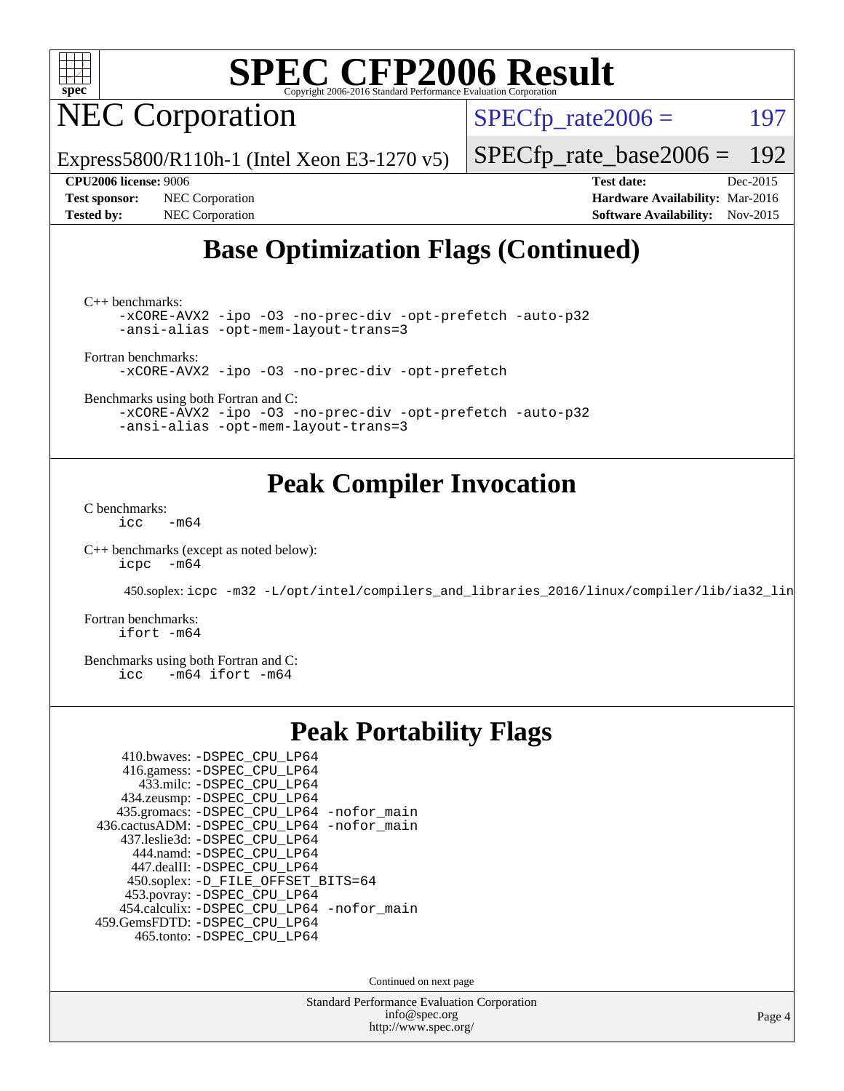

NEC Corporation

Express5800/R110h-1 (Intel Xeon E3-1270 v5)

 $SPECTp_rate2006 = 197$ 

[SPECfp\\_rate\\_base2006 =](http://www.spec.org/auto/cpu2006/Docs/result-fields.html#SPECfpratebase2006) 192

**[Test sponsor:](http://www.spec.org/auto/cpu2006/Docs/result-fields.html#Testsponsor)** NEC Corporation **[Hardware Availability:](http://www.spec.org/auto/cpu2006/Docs/result-fields.html#HardwareAvailability)** Mar-2016

**[CPU2006 license:](http://www.spec.org/auto/cpu2006/Docs/result-fields.html#CPU2006license)** 9006 **[Test date:](http://www.spec.org/auto/cpu2006/Docs/result-fields.html#Testdate)** Dec-2015 **[Tested by:](http://www.spec.org/auto/cpu2006/Docs/result-fields.html#Testedby)** NEC Corporation **[Software Availability:](http://www.spec.org/auto/cpu2006/Docs/result-fields.html#SoftwareAvailability)** Nov-2015

### **[Base Optimization Flags \(Continued\)](http://www.spec.org/auto/cpu2006/Docs/result-fields.html#BaseOptimizationFlags)**

[C++ benchmarks:](http://www.spec.org/auto/cpu2006/Docs/result-fields.html#CXXbenchmarks)

[-xCORE-AVX2](http://www.spec.org/cpu2006/results/res2016q1/cpu2006-20160125-38794.flags.html#user_CXXbase_f-xAVX2_5f5fc0cbe2c9f62c816d3e45806c70d7) [-ipo](http://www.spec.org/cpu2006/results/res2016q1/cpu2006-20160125-38794.flags.html#user_CXXbase_f-ipo) [-O3](http://www.spec.org/cpu2006/results/res2016q1/cpu2006-20160125-38794.flags.html#user_CXXbase_f-O3) [-no-prec-div](http://www.spec.org/cpu2006/results/res2016q1/cpu2006-20160125-38794.flags.html#user_CXXbase_f-no-prec-div) [-opt-prefetch](http://www.spec.org/cpu2006/results/res2016q1/cpu2006-20160125-38794.flags.html#user_CXXbase_f-opt-prefetch) [-auto-p32](http://www.spec.org/cpu2006/results/res2016q1/cpu2006-20160125-38794.flags.html#user_CXXbase_f-auto-p32) [-ansi-alias](http://www.spec.org/cpu2006/results/res2016q1/cpu2006-20160125-38794.flags.html#user_CXXbase_f-ansi-alias) [-opt-mem-layout-trans=3](http://www.spec.org/cpu2006/results/res2016q1/cpu2006-20160125-38794.flags.html#user_CXXbase_f-opt-mem-layout-trans_a7b82ad4bd7abf52556d4961a2ae94d5)

[Fortran benchmarks](http://www.spec.org/auto/cpu2006/Docs/result-fields.html#Fortranbenchmarks):

[-xCORE-AVX2](http://www.spec.org/cpu2006/results/res2016q1/cpu2006-20160125-38794.flags.html#user_FCbase_f-xAVX2_5f5fc0cbe2c9f62c816d3e45806c70d7) [-ipo](http://www.spec.org/cpu2006/results/res2016q1/cpu2006-20160125-38794.flags.html#user_FCbase_f-ipo) [-O3](http://www.spec.org/cpu2006/results/res2016q1/cpu2006-20160125-38794.flags.html#user_FCbase_f-O3) [-no-prec-div](http://www.spec.org/cpu2006/results/res2016q1/cpu2006-20160125-38794.flags.html#user_FCbase_f-no-prec-div) [-opt-prefetch](http://www.spec.org/cpu2006/results/res2016q1/cpu2006-20160125-38794.flags.html#user_FCbase_f-opt-prefetch)

[Benchmarks using both Fortran and C](http://www.spec.org/auto/cpu2006/Docs/result-fields.html#BenchmarksusingbothFortranandC):

[-xCORE-AVX2](http://www.spec.org/cpu2006/results/res2016q1/cpu2006-20160125-38794.flags.html#user_CC_FCbase_f-xAVX2_5f5fc0cbe2c9f62c816d3e45806c70d7) [-ipo](http://www.spec.org/cpu2006/results/res2016q1/cpu2006-20160125-38794.flags.html#user_CC_FCbase_f-ipo) [-O3](http://www.spec.org/cpu2006/results/res2016q1/cpu2006-20160125-38794.flags.html#user_CC_FCbase_f-O3) [-no-prec-div](http://www.spec.org/cpu2006/results/res2016q1/cpu2006-20160125-38794.flags.html#user_CC_FCbase_f-no-prec-div) [-opt-prefetch](http://www.spec.org/cpu2006/results/res2016q1/cpu2006-20160125-38794.flags.html#user_CC_FCbase_f-opt-prefetch) [-auto-p32](http://www.spec.org/cpu2006/results/res2016q1/cpu2006-20160125-38794.flags.html#user_CC_FCbase_f-auto-p32) [-ansi-alias](http://www.spec.org/cpu2006/results/res2016q1/cpu2006-20160125-38794.flags.html#user_CC_FCbase_f-ansi-alias) [-opt-mem-layout-trans=3](http://www.spec.org/cpu2006/results/res2016q1/cpu2006-20160125-38794.flags.html#user_CC_FCbase_f-opt-mem-layout-trans_a7b82ad4bd7abf52556d4961a2ae94d5)

#### **[Peak Compiler Invocation](http://www.spec.org/auto/cpu2006/Docs/result-fields.html#PeakCompilerInvocation)**

[C benchmarks](http://www.spec.org/auto/cpu2006/Docs/result-fields.html#Cbenchmarks):  $\text{icc}$  -m64

[C++ benchmarks \(except as noted below\):](http://www.spec.org/auto/cpu2006/Docs/result-fields.html#CXXbenchmarksexceptasnotedbelow) [icpc -m64](http://www.spec.org/cpu2006/results/res2016q1/cpu2006-20160125-38794.flags.html#user_CXXpeak_intel_icpc_64bit_bedb90c1146cab66620883ef4f41a67e)

450.soplex: [icpc -m32 -L/opt/intel/compilers\\_and\\_libraries\\_2016/linux/compiler/lib/ia32\\_lin](http://www.spec.org/cpu2006/results/res2016q1/cpu2006-20160125-38794.flags.html#user_peakCXXLD450_soplex_intel_icpc_b4f50a394bdb4597aa5879c16bc3f5c5)

[Fortran benchmarks](http://www.spec.org/auto/cpu2006/Docs/result-fields.html#Fortranbenchmarks): [ifort -m64](http://www.spec.org/cpu2006/results/res2016q1/cpu2006-20160125-38794.flags.html#user_FCpeak_intel_ifort_64bit_ee9d0fb25645d0210d97eb0527dcc06e)

[Benchmarks using both Fortran and C](http://www.spec.org/auto/cpu2006/Docs/result-fields.html#BenchmarksusingbothFortranandC):<br>icc -m64 ifort -m64  $-m64$  ifort  $-m64$ 

#### **[Peak Portability Flags](http://www.spec.org/auto/cpu2006/Docs/result-fields.html#PeakPortabilityFlags)**

| 410.bwaves: -DSPEC CPU LP64                |
|--------------------------------------------|
| 416.gamess: -DSPEC_CPU_LP64                |
| 433.milc: -DSPEC CPU LP64                  |
| 434.zeusmp: -DSPEC_CPU_LP64                |
| 435.gromacs: -DSPEC_CPU_LP64 -nofor_main   |
| 436.cactusADM: -DSPEC_CPU_LP64 -nofor_main |
| 437.leslie3d: -DSPEC CPU LP64              |
| 444.namd: -DSPEC CPU LP64                  |
| 447.dealII: -DSPEC_CPU_LP64                |
| 450.soplex: -D_FILE_OFFSET_BITS=64         |
| 453.povray: -DSPEC_CPU_LP64                |
| 454.calculix: -DSPEC_CPU_LP64 -nofor_main  |
| 459.GemsFDTD: -DSPEC_CPU_LP64              |
| 465.tonto: - DSPEC CPU LP64                |

Continued on next page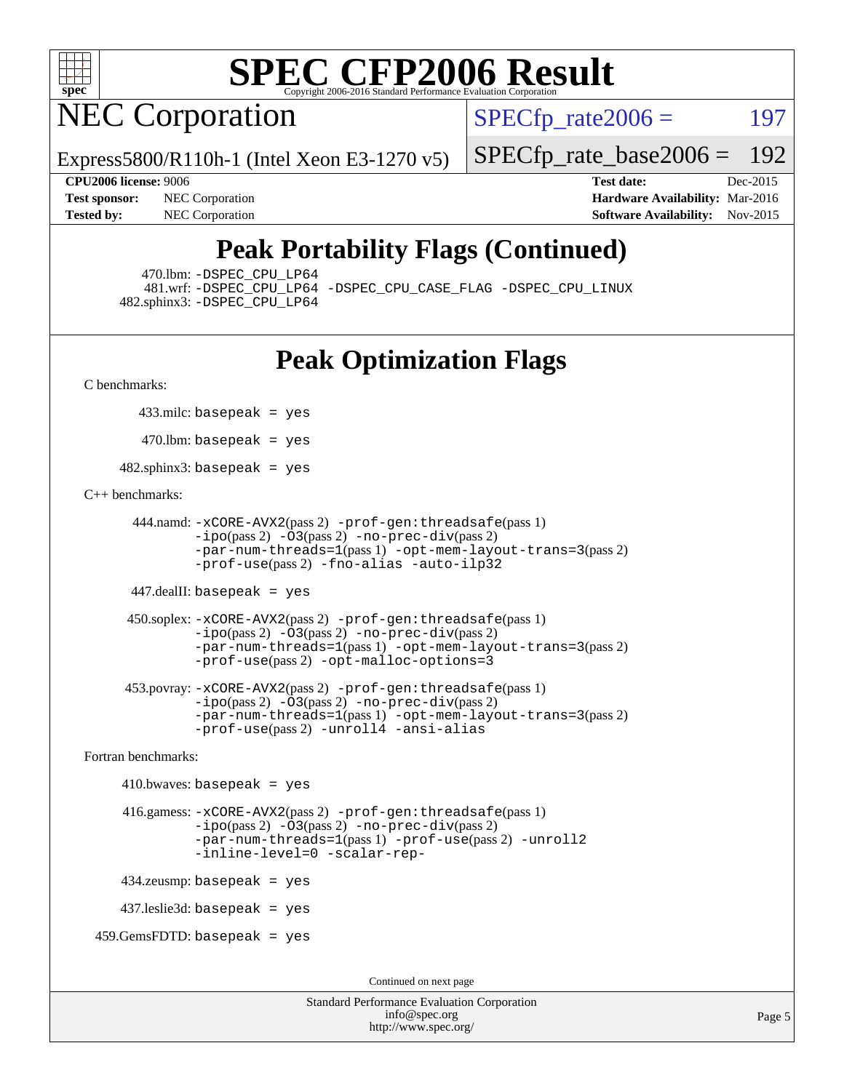

## **NEC Corporation**

 $SPECTp\_rate2006 = 197$ 

Express5800/R110h-1 (Intel Xeon E3-1270 v5)

**[Tested by:](http://www.spec.org/auto/cpu2006/Docs/result-fields.html#Testedby)** NEC Corporation **[Software Availability:](http://www.spec.org/auto/cpu2006/Docs/result-fields.html#SoftwareAvailability)** Nov-2015

**[CPU2006 license:](http://www.spec.org/auto/cpu2006/Docs/result-fields.html#CPU2006license)** 9006 **[Test date:](http://www.spec.org/auto/cpu2006/Docs/result-fields.html#Testdate)** Dec-2015 **[Test sponsor:](http://www.spec.org/auto/cpu2006/Docs/result-fields.html#Testsponsor)** NEC Corporation **NEC Corporation [Hardware Availability:](http://www.spec.org/auto/cpu2006/Docs/result-fields.html#HardwareAvailability)** Mar-2016

[SPECfp\\_rate\\_base2006 =](http://www.spec.org/auto/cpu2006/Docs/result-fields.html#SPECfpratebase2006) 192

### **[Peak Portability Flags \(Continued\)](http://www.spec.org/auto/cpu2006/Docs/result-fields.html#PeakPortabilityFlags)**

470.lbm: [-DSPEC\\_CPU\\_LP64](http://www.spec.org/cpu2006/results/res2016q1/cpu2006-20160125-38794.flags.html#suite_peakPORTABILITY470_lbm_DSPEC_CPU_LP64)

 481.wrf: [-DSPEC\\_CPU\\_LP64](http://www.spec.org/cpu2006/results/res2016q1/cpu2006-20160125-38794.flags.html#suite_peakPORTABILITY481_wrf_DSPEC_CPU_LP64) [-DSPEC\\_CPU\\_CASE\\_FLAG](http://www.spec.org/cpu2006/results/res2016q1/cpu2006-20160125-38794.flags.html#b481.wrf_peakCPORTABILITY_DSPEC_CPU_CASE_FLAG) [-DSPEC\\_CPU\\_LINUX](http://www.spec.org/cpu2006/results/res2016q1/cpu2006-20160125-38794.flags.html#b481.wrf_peakCPORTABILITY_DSPEC_CPU_LINUX) 482.sphinx3: [-DSPEC\\_CPU\\_LP64](http://www.spec.org/cpu2006/results/res2016q1/cpu2006-20160125-38794.flags.html#suite_peakPORTABILITY482_sphinx3_DSPEC_CPU_LP64)

### **[Peak Optimization Flags](http://www.spec.org/auto/cpu2006/Docs/result-fields.html#PeakOptimizationFlags)**

[C benchmarks](http://www.spec.org/auto/cpu2006/Docs/result-fields.html#Cbenchmarks):

433.milc: basepeak = yes

 $470$ .lbm: basepeak = yes

482.sphinx3: basepeak = yes

#### [C++ benchmarks:](http://www.spec.org/auto/cpu2006/Docs/result-fields.html#CXXbenchmarks)

```
 444.namd: -xCORE-AVX2(pass 2) -prof-gen:threadsafe(pass 1)
        -ipo(pass 2) -O3(pass 2) -no-prec-div(pass 2)
        -par-num-threads=1(pass 1) -opt-mem-layout-trans=3(pass 2)
        -prof-use(pass 2) -fno-alias -auto-ilp32
```
447.dealII: basepeak = yes

```
 450.soplex: -xCORE-AVX2(pass 2) -prof-gen:threadsafe(pass 1)
         -ipo(pass 2) -O3(pass 2) -no-prec-div(pass 2)
         -par-num-threads=1(pass 1) -opt-mem-layout-trans=3(pass 2)
         -prof-use(pass 2) -opt-malloc-options=3
```

```
 453.povray: -xCORE-AVX2(pass 2) -prof-gen:threadsafe(pass 1)
        -no-prec-div(pass 2)-par-num-threads=1(pass 1) -opt-mem-layout-trans=3(pass 2)
        -prof-use(pass 2) -unroll4 -ansi-alias
```
[Fortran benchmarks](http://www.spec.org/auto/cpu2006/Docs/result-fields.html#Fortranbenchmarks):

```
410.bwaves: basepeak = yes 416.gamess: -xCORE-AVX2(pass 2) -prof-gen:threadsafe(pass 1)
              -i\text{po}(pass 2) -\overline{O}3(pass 2)-no-prec-div(pass 2)
              -par-num-threads=1(pass 1) -prof-use(pass 2) -unroll2
              -inline-level=0 -scalar-rep-
    434.zeusmp: basepeak = yes
    437.leslie3d: basepeak = yes
459.GemsFDTD: basepeak = yes
```
Continued on next page